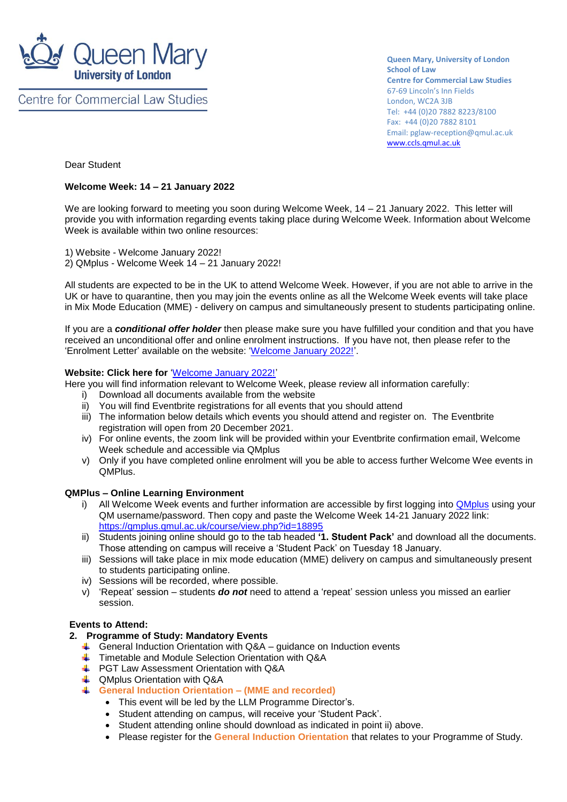

**Centre for Commercial Law Studies** 

**Queen Mary, University of London School of Law Centre for Commercial Law Studies** 67-69 Lincoln's Inn Fields London, WC2A 3JB Tel: +44 (0)20 7882 8223/8100 Fax: +44 (0)20 7882 8101 Email: pglaw-reception@qmul.ac.uk [www.ccls.qmul.ac.uk](http://www.ccls.qmul.ac.uk/)

Dear Student

#### **Welcome Week: 14 – 21 January 2022**

We are looking forward to meeting you soon during Welcome Week, 14 – 21 January 2022. This letter will provide you with information regarding events taking place during Welcome Week. Information about Welcome Week is available within two online resources:

1) Website - Welcome January 2022! 2) QMplus - Welcome Week 14 – 21 January 2022!

All students are expected to be in the UK to attend Welcome Week. However, if you are not able to arrive in the UK or have to quarantine, then you may join the events online as all the Welcome Week events will take place in Mix Mode Education (MME) - delivery on campus and simultaneously present to students participating online.

If you are a *conditional offer holder* then please make sure you have fulfilled your condition and that you have received an unconditional offer and online enrolment instructions. If you have not, then please refer to the 'Enrolment Letter' available on the website: ['Welcome January 2022!'.](https://www.qmul.ac.uk/law/postgraduate/postgraduate-welcome-jan-2022/)

#### **Website: Click here for** ['Welcome January 2022!'](https://www.qmul.ac.uk/law/postgraduate/postgraduate-welcome-jan-2022/)

Here you will find information relevant to Welcome Week, please review all information carefully:

- i) Download all documents available from the website
- ii) You will find Eventbrite registrations for all events that you should attend
- iii) The information below details which events you should attend and register on. The Eventbrite registration will open from 20 December 2021.
- iv) For online events, the zoom link will be provided within your Eventbrite confirmation email, Welcome Week schedule and accessible via QMplus
- v) Only if you have completed online enrolment will you be able to access further Welcome Wee events in QMPlus.

## **QMPlus – Online Learning Environment**

- i) All Welcome Week events and further information are accessible by first logging into **[QMplus](https://qmplus.qmul.ac.uk/)** using your QM username/password. Then copy and paste the Welcome Week 14-21 January 2022 link: <https://qmplus.qmul.ac.uk/course/view.php?id=18895>
- ii) Students joining online should go to the tab headed **'1. Student Pack'** and download all the documents. Those attending on campus will receive a 'Student Pack' on Tuesday 18 January.
- iii) Sessions will take place in mix mode education (MME) delivery on campus and simultaneously present to students participating online.
- iv) Sessions will be recorded, where possible.
- v) 'Repeat' session students *do not* need to attend a 'repeat' session unless you missed an earlier session.

## **Events to Attend:**

## **2. Programme of Study: Mandatory Events**

- $\overline{\phantom{a}}$  General Induction Orientation with Q&A guidance on Induction events
- Timetable and Module Selection Orientation with Q&A
- **E** PGT Law Assessment Orientation with Q&A
- **+ QMplus Orientation with Q&A**
- **General Induction Orientation – (MME and recorded)**
	- This event will be led by the LLM Programme Director's.
	- Student attending on campus, will receive your 'Student Pack'.
	- Student attending online should download as indicated in point ii) above.
	- Please register for the **General Induction Orientation** that relates to your Programme of Study.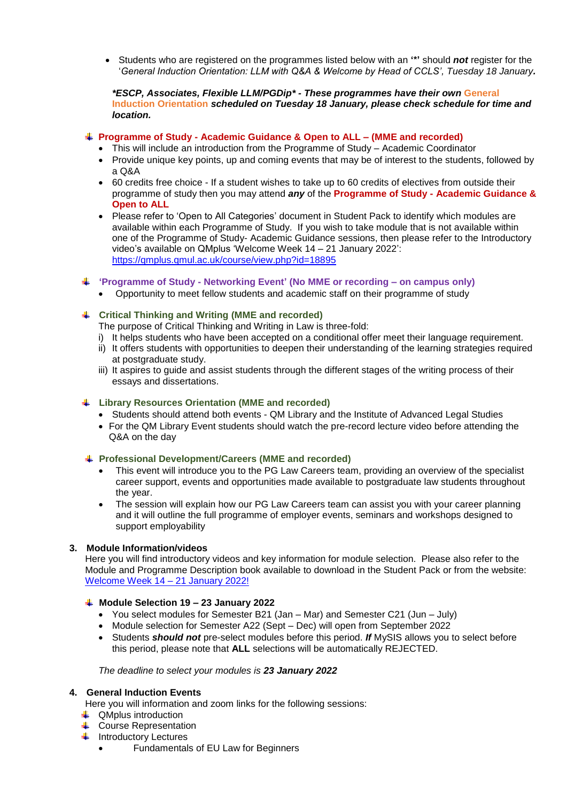Students who are registered on the programmes listed below with an **'\*'** should *not* register for the '*General Induction Orientation: LLM with Q&A & Welcome by Head of CCLS', Tuesday 18 January.*

#### *\*ESCP, Associates, Flexible LLM/PGDip\* - These programmes have their own* **General Induction Orientation** *scheduled on Tuesday 18 January, please check schedule for time and location.*

# **Programme of Study - Academic Guidance & Open to ALL – (MME and recorded)**

- This will include an introduction from the Programme of Study Academic Coordinator
- Provide unique key points, up and coming events that may be of interest to the students, followed by a Q&A
- 60 credits free choice If a student wishes to take up to 60 credits of electives from outside their programme of study then you may attend *any* of the **Programme of Study - Academic Guidance & Open to ALL**
- Please refer to 'Open to All Categories' document in Student Pack to identify which modules are available within each Programme of Study. If you wish to take module that is not available within one of the Programme of Study- Academic Guidance sessions, then please refer to the Introductory video's available on QMplus 'Welcome Week 14 – 21 January 2022': <https://qmplus.qmul.ac.uk/course/view.php?id=18895>
- **'Programme of Study - Networking Event' (No MME or recording – on campus only)**
	- Opportunity to meet fellow students and academic staff on their programme of study

## **Critical Thinking and Writing (MME and recorded)**

- The purpose of Critical Thinking and Writing in Law is three-fold:
- i) It helps students who have been accepted on a conditional offer meet their language requirement.
- ii) It offers students with opportunities to deepen their understanding of the learning strategies required at postgraduate study.
- iii) It aspires to guide and assist students through the different stages of the writing process of their essays and dissertations.

## **Library Resources Orientation (MME and recorded)**

- Students should attend both events OM Library and the Institute of Advanced Legal Studies
- For the QM Library Event students should watch the pre-record lecture video before attending the Q&A on the day

## **Professional Development/Careers (MME and recorded)**

- This event will introduce you to the PG Law Careers team, providing an overview of the specialist career support, events and opportunities made available to postgraduate law students throughout the year.
- The session will explain how our PG Law Careers team can assist you with your career planning and it will outline the full programme of employer events, seminars and workshops designed to support employability

## **3. Module Information/videos**

Here you will find introductory videos and key information for module selection. Please also refer to the Module and Programme Description book available to download in the Student Pack or from the website: [Welcome Week 14 –](https://www.qmul.ac.uk/law/postgraduate/postgraduate-welcome-jan-2022/) 21 January 2022!

## **Module Selection 19 – 23 January 2022**

- You select modules for Semester B21 (Jan Mar) and Semester C21 (Jun July)
- Module selection for Semester A22 (Sept Dec) will open from September 2022
- Students *should not* pre-select modules before this period. *If* MySIS allows you to select before this period, please note that **ALL** selections will be automatically REJECTED.

#### *The deadline to select your modules is 23 January 2022*

## **4. General Induction Events**

Here you will information and zoom links for the following sessions:

- **↓** QMplus introduction
- **↓** Course Representation
- $\leftarrow$  Introductory Lectures
	- Fundamentals of EU Law for Beginners